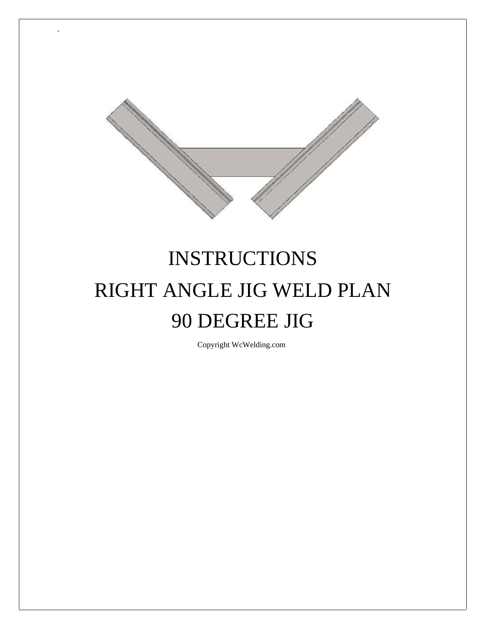

## **INSTRUCTIONS** RIGHT ANGLE JIG WELD PLAN 90 DEGREE JIG

Copyright WcWelding.com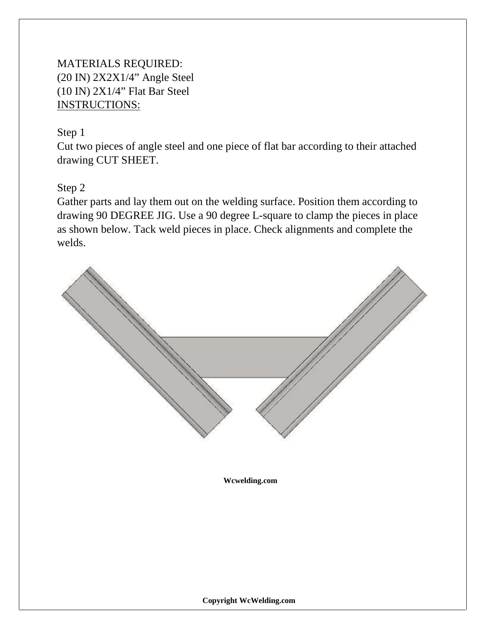## MATERIALS REQUIRED: (20 IN) 2X2X1/4" Angle Steel (10 IN) 2X1/4" Flat Bar Steel INSTRUCTIONS:

## Step 1

Cut two pieces of angle steel and one piece of flat bar according to their attached drawing CUT SHEET.

Step 2

Gather parts and lay them out on the welding surface. Position them according to drawing 90 DEGREE JIG. Use a 90 degree L-square to clamp the pieces in place as shown below. Tack weld pieces in place. Check alignments and complete the welds.

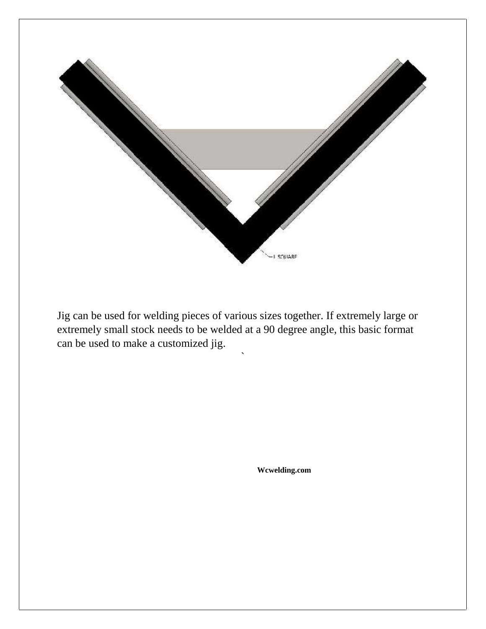

Jig can be used for welding pieces of various sizes together. If extremely large or extremely small stock needs to be welded at a 90 degree angle, this basic format can be used to make a customized jig.

 $\sum_{i=1}^n \alpha_i$ 

**[Wcwelding.com](http://www.wcwelding.com)**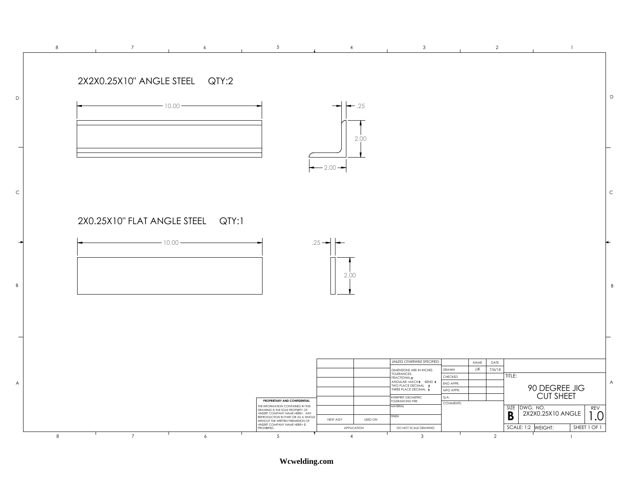

**Wcwelding.com**